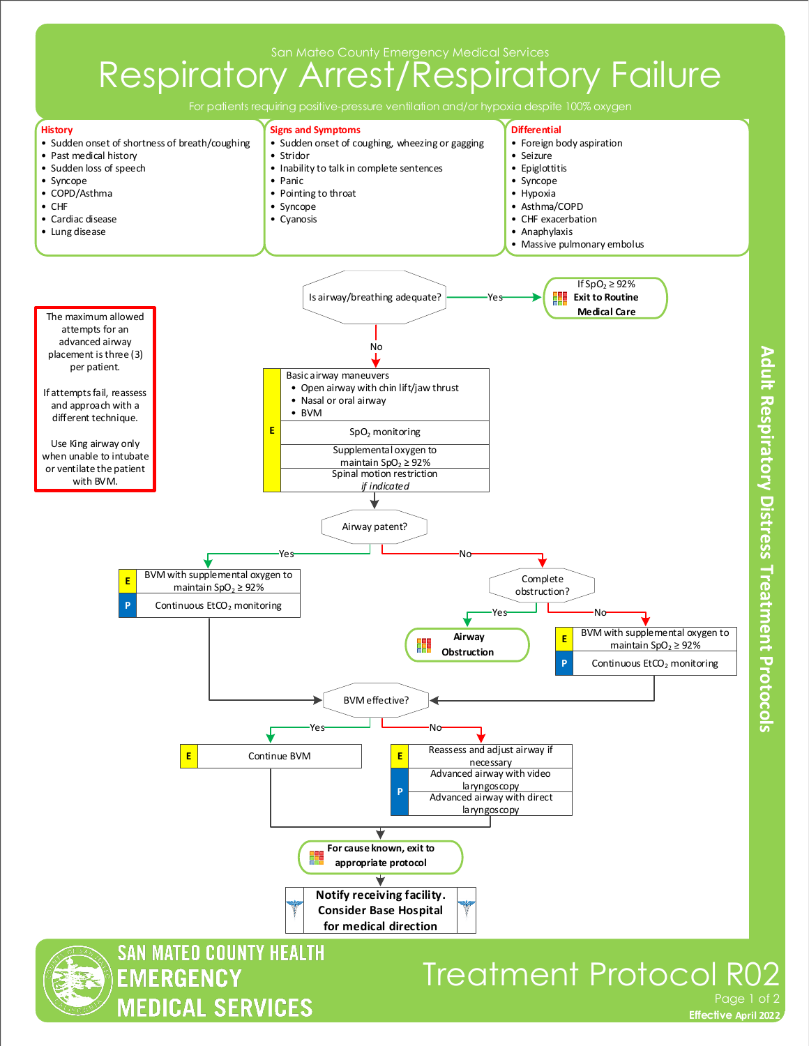San Mateo County Emergency Medical Services

## Respiratory Arrest/Respiratory Failure

For patients requiring positive-pressure ventilation and/or hypoxia despite 100% oxygen



Adult Respiratory Distress Treatment Protocols

**Effective November 2018 Effective April 2022**